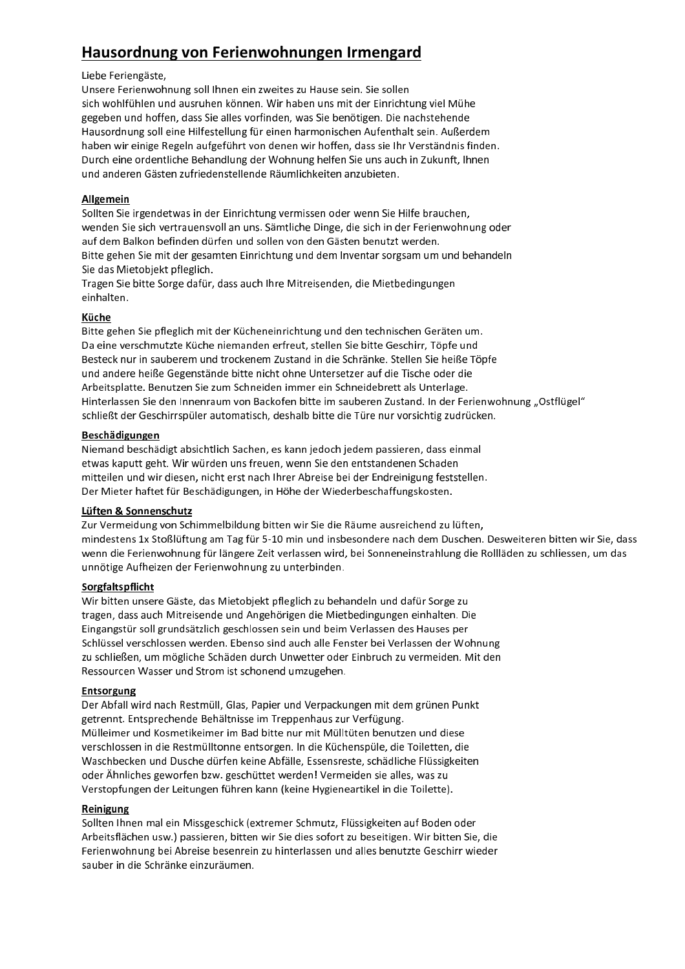# Hausordnung von Ferienwohnungen Irmengard

#### Liebe Feriengäste,

Unsere Ferienwohnung soll Ihnen ein zweites zu Hause sein. Sie sollen sich wohlfühlen und ausruhen können. Wir haben uns mit der Einrichtung viel Mühe gegeben und hoffen, dass Sie alles vorfinden, was Sie benötigen. Die nachstehende Hausordnung soll eine Hilfestellung für einen harmonischen Aufenthalt sein. Außerdem haben wir einige Regeln aufgeführt von denen wir hoffen, dass sie Ihr Verständnis finden. Durch eine ordentliche Behandlung der Wohnung helfen Sie uns auch in Zukunft, Ihnen und anderen Gästen zufriedenstellende Räumlichkeiten anzubieten.

# Allgemein

Sollten Sie irgendetwas in der Einrichtung vermissen oder wenn Sie Hilfe brauchen. wenden Sie sich vertrauensvoll an uns. Sämtliche Dinge, die sich in der Ferienwohnung oder auf dem Balkon befinden dürfen und sollen von den Gästen benutzt werden. Bitte gehen Sie mit der gesamten Einrichtung und dem Inventar sorgsam um und behandeln Sie das Mietobjekt pfleglich.

Tragen Sie bitte Sorge dafür, dass auch Ihre Mitreisenden, die Mietbedingungen einhalten.

# Küche

Bitte gehen Sie pfleglich mit der Kücheneinrichtung und den technischen Geräten um. Da eine verschmutzte Küche niemanden erfreut, stellen Sie bitte Geschirr, Töpfe und Besteck nur in sauberem und trockenem Zustand in die Schränke. Stellen Sie heiße Töpfe und andere heiße Gegenstände bitte nicht ohne Untersetzer auf die Tische oder die Arbeitsplatte. Benutzen Sie zum Schneiden immer ein Schneidebrett als Unterlage. Hinterlassen Sie den Innenraum von Backofen bitte im sauberen Zustand. In der Ferienwohnung "Ostflügel" schließt der Geschirrspüler automatisch, deshalb bitte die Türe nur vorsichtig zudrücken.

## Beschädigungen

Niemand beschädigt absichtlich Sachen, es kann jedoch jedem passieren, dass einmal etwas kaputt geht. Wir würden uns freuen, wenn Sie den entstandenen Schaden mitteilen und wir diesen, nicht erst nach Ihrer Abreise bei der Endreinigung feststellen. Der Mieter haftet für Beschädigungen, in Höhe der Wiederbeschaffungskosten.

# Lüften & Sonnenschutz

Zur Vermeidung von Schimmelbildung bitten wir Sie die Räume ausreichend zu lüften, mindestens 1x Stoßlüftung am Tag für 5-10 min und insbesondere nach dem Duschen. Desweiteren bitten wir Sie, dass wenn die Ferienwohnung für längere Zeit verlassen wird, bei Sonneneinstrahlung die Rollläden zu schliessen, um das unnötige Aufheizen der Ferienwohnung zu unterbinden.

# Sorgfaltspflicht

Wir bitten unsere Gäste, das Mietobjekt pfleglich zu behandeln und dafür Sorge zu tragen, dass auch Mitreisende und Angehörigen die Mietbedingungen einhalten. Die Eingangstür soll grundsätzlich geschlossen sein und beim Verlassen des Hauses per Schlüssel verschlossen werden. Ebenso sind auch alle Fenster bei Verlassen der Wohnung zu schließen, um mögliche Schäden durch Unwetter oder Einbruch zu vermeiden. Mit den Ressourcen Wasser und Strom ist schonend umzugehen.

# Entsorgung

Der Abfall wird nach Restmüll, Glas, Papier und Verpackungen mit dem grünen Punkt getrennt. Entsprechende Behältnisse im Treppenhaus zur Verfügung. Mülleimer und Kosmetikeimer im Bad bitte nur mit Mülltüten benutzen und diese verschlossen in die Restmülltonne entsorgen. In die Küchenspüle, die Toiletten, die Waschbecken und Dusche dürfen keine Abfälle, Essensreste, schädliche Flüssigkeiten oder Ähnliches geworfen bzw. geschüttet werden! Vermeiden sie alles, was zu Verstopfungen der Leitungen führen kann (keine Hygieneartikel in die Toilette).

# Reinigung

Sollten Ihnen mal ein Missgeschick (extremer Schmutz, Flüssigkeiten auf Boden oder Arbeitsflächen usw.) passieren, bitten wir Sie dies sofort zu beseitigen. Wir bitten Sie, die Ferienwohnung bei Abreise besenrein zu hinterlassen und alles benutzte Geschirr wieder sauber in die Schränke einzuräumen.